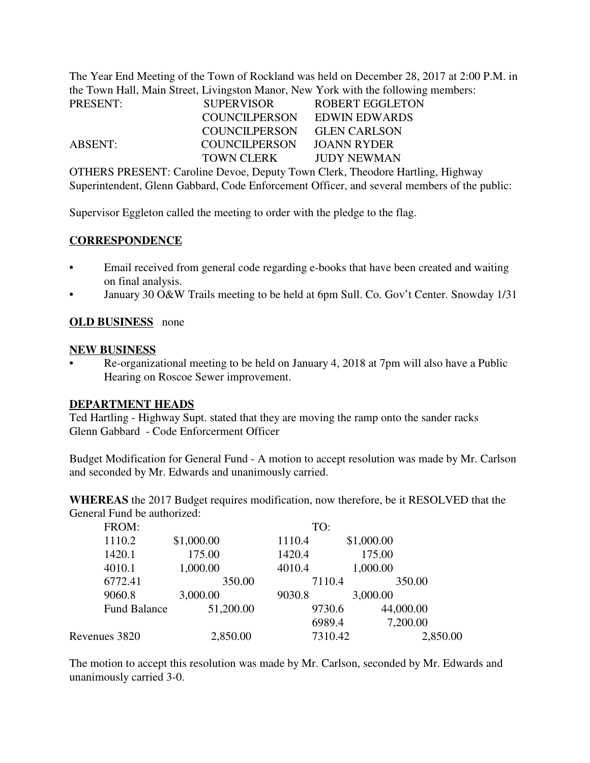The Year End Meeting of the Town of Rockland was held on December 28, 2017 at 2:00 P.M. in the Town Hall, Main Street, Livingston Manor, New York with the following members:

| <b>PRESENT:</b> | <b>SUPERVISOR</b> | ROBERT EGGLETON     |
|-----------------|-------------------|---------------------|
|                 | COUNCILPERSON     | EDWIN EDWARDS       |
|                 | COUNCILPERSON     | <b>GLEN CARLSON</b> |
| ABSENT:         | COUNCILPERSON     | JOANN RYDER         |
|                 | TOWN CLERK        | JUDY NEWMAN         |

OTHERS PRESENT: Caroline Devoe, Deputy Town Clerk, Theodore Hartling, Highway Superintendent, Glenn Gabbard, Code Enforcement Officer, and several members of the public:

Supervisor Eggleton called the meeting to order with the pledge to the flag.

### **CORRESPONDENCE**

- Email received from general code regarding e-books that have been created and waiting on final analysis.
- January 30 O&W Trails meeting to be held at 6pm Sull. Co. Gov't Center. Snowday 1/31

### **OLD BUSINESS** none

#### **NEW BUSINESS**

• Re-organizational meeting to be held on January 4, 2018 at 7pm will also have a Public Hearing on Roscoe Sewer improvement.

### **DEPARTMENT HEADS**

Ted Hartling - Highway Supt. stated that they are moving the ramp onto the sander racks Glenn Gabbard - Code Enforcerment Officer

Budget Modification for General Fund - A motion to accept resolution was made by Mr. Carlson and seconded by Mr. Edwards and unanimously carried.

**WHEREAS** the 2017 Budget requires modification, now therefore, be it RESOLVED that the General Fund be authorized:

| FROM:               |            | TO:     |            |
|---------------------|------------|---------|------------|
| 1110.2              | \$1,000.00 | 1110.4  | \$1,000.00 |
| 1420.1              | 175.00     | 1420.4  | 175.00     |
| 4010.1              | 1,000.00   | 4010.4  | 1,000.00   |
| 6772.41             | 350.00     | 7110.4  | 350.00     |
| 9060.8              | 3,000.00   | 9030.8  | 3,000.00   |
| <b>Fund Balance</b> | 51,200.00  | 9730.6  | 44,000.00  |
|                     |            | 6989.4  | 7,200.00   |
| Revenues 3820       | 2,850.00   | 7310.42 | 2,850.00   |

The motion to accept this resolution was made by Mr. Carlson, seconded by Mr. Edwards and unanimously carried 3-0.